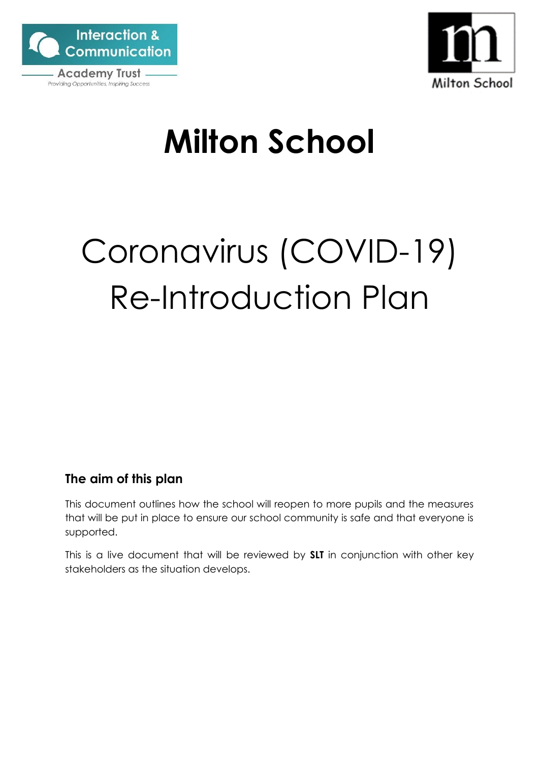



# **Milton School**

# Coronavirus (COVID-19) Re-Introduction Plan

# <span id="page-0-0"></span>**The aim of this plan**

This document outlines how the school will reopen to more pupils and the measures that will be put in place to ensure our school community is safe and that everyone is supported.

This is a live document that will be reviewed by **SLT** in conjunction with other key stakeholders as the situation develops.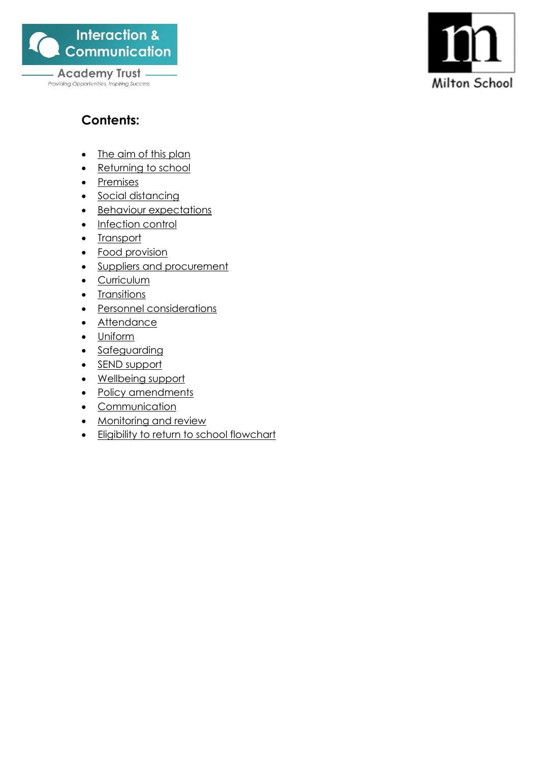

Providing Opportunities, Inspiring Success



# **Contents:**

- [The aim of this plan](#page-0-0)
- [Returning to school](#page-2-0)
- [Premises](#page-5-0)
- [Social distancing](#page-6-0)
- [Behaviour expectations](#page-8-0)
- [Infection control](#page-9-0)
- [Transport](#page-12-0)
- [Food provision](#page-13-0)
- [Suppliers and procurement](#page-13-1)
- [Curriculum](#page-14-0)
- [Transitions](#page-16-0)
- [Personnel](#page-18-0) [considerations](#page-18-0)
- [Attendance](#page-19-0)
- [Uniform](#page-19-1)
- [Safeguarding](#page-20-0)
- [SEND support](#page-21-0)
- [Wellbeing support](#page-25-0)
- [Policy amendments](#page-29-0)
- [Communication](#page-29-1)
- [Monitoring and review](#page-30-0)
- [Eligibility to return to school flowchart](#page-31-0)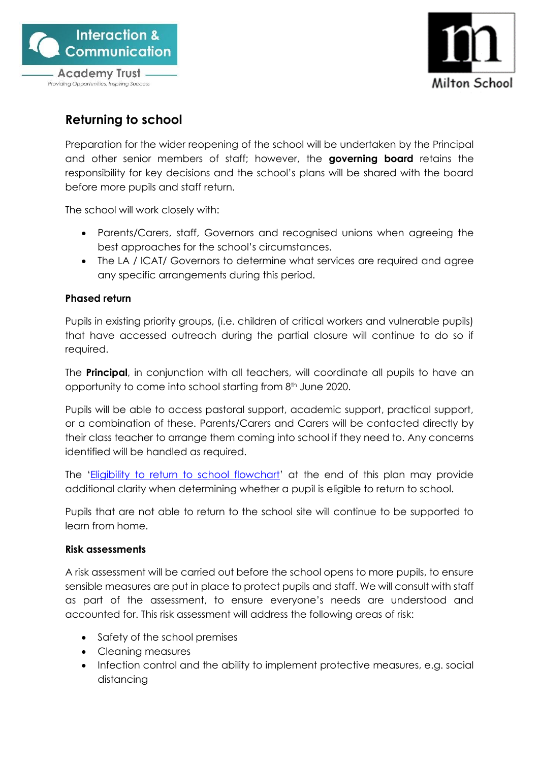



# <span id="page-2-0"></span>**Returning to school**

Preparation for the wider reopening of the school will be undertaken by the Principal and other senior members of staff; however, the **governing board** retains the responsibility for key decisions and the school's plans will be shared with the board before more pupils and staff return.

The school will work closely with:

- Parents/Carers, staff, Governors and recognised unions when agreeing the best approaches for the school's circumstances.
- The LA / ICAT/ Governors to determine what services are required and agree any specific arrangements during this period.

#### **Phased return**

Pupils in existing priority groups, (i.e. children of critical workers and vulnerable pupils) that have accessed outreach during the partial closure will continue to do so if required.

The **Principal**, in conjunction with all teachers, will coordinate all pupils to have an opportunity to come into school starting from 8<sup>th</sup> June 2020.

Pupils will be able to access pastoral support, academic support, practical support, or a combination of these. Parents/Carers and Carers will be contacted directly by their class teacher to arrange them coming into school if they need to. Any concerns identified will be handled as required.

The '[Eligibility to return to school flowchart](#page-31-0)' at the end of this plan may provide additional clarity when determining whether a pupil is eligible to return to school.

Pupils that are not able to return to the school site will continue to be supported to learn from home.

#### **Risk assessments**

A risk assessment will be carried out before the school opens to more pupils, to ensure sensible measures are put in place to protect pupils and staff. We will consult with staff as part of the assessment, to ensure everyone's needs are understood and accounted for. This risk assessment will address the following areas of risk:

- Safety of the school premises
- Cleaning measures
- Infection control and the ability to implement protective measures, e.g. social distancing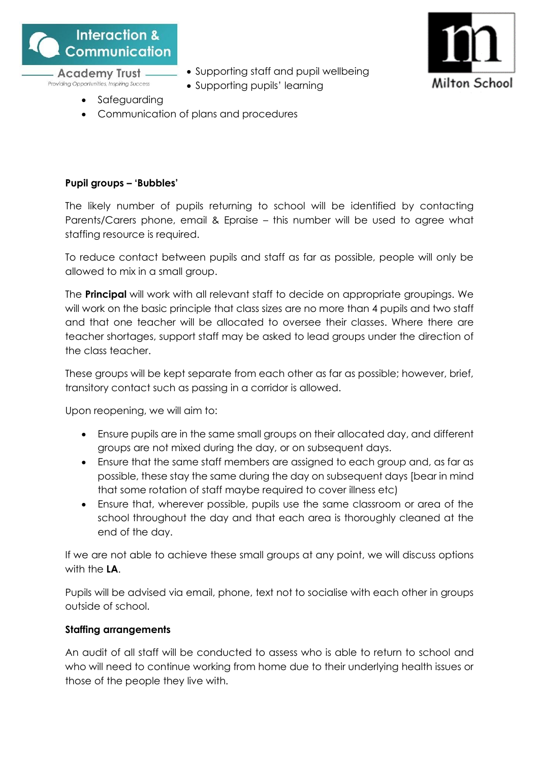

**Academy Trust -**

Providing Opportunities, Inspiring Success

• Supporting staff and pupil wellbeing





- **Safeguarding**
- Communication of plans and procedures

# **Pupil groups – 'Bubbles'**

The likely number of pupils returning to school will be identified by contacting Parents/Carers phone, email & Epraise – this number will be used to agree what staffing resource is required.

To reduce contact between pupils and staff as far as possible, people will only be allowed to mix in a small group.

The **Principal** will work with all relevant staff to decide on appropriate groupings. We will work on the basic principle that class sizes are no more than 4 pupils and two staff and that one teacher will be allocated to oversee their classes. Where there are teacher shortages, support staff may be asked to lead groups under the direction of the class teacher.

These groups will be kept separate from each other as far as possible; however, brief, transitory contact such as passing in a corridor is allowed.

Upon reopening, we will aim to:

- Ensure pupils are in the same small groups on their allocated day, and different groups are not mixed during the day, or on subsequent days.
- Ensure that the same staff members are assigned to each group and, as far as possible, these stay the same during the day on subsequent days [bear in mind that some rotation of staff maybe required to cover illness etc)
- Ensure that, wherever possible, pupils use the same classroom or area of the school throughout the day and that each area is thoroughly cleaned at the end of the day.

If we are not able to achieve these small groups at any point, we will discuss options with the **LA**.

Pupils will be advised via email, phone, text not to socialise with each other in groups outside of school.

# **Staffing arrangements**

An audit of all staff will be conducted to assess who is able to return to school and who will need to continue working from home due to their underlying health issues or those of the people they live with.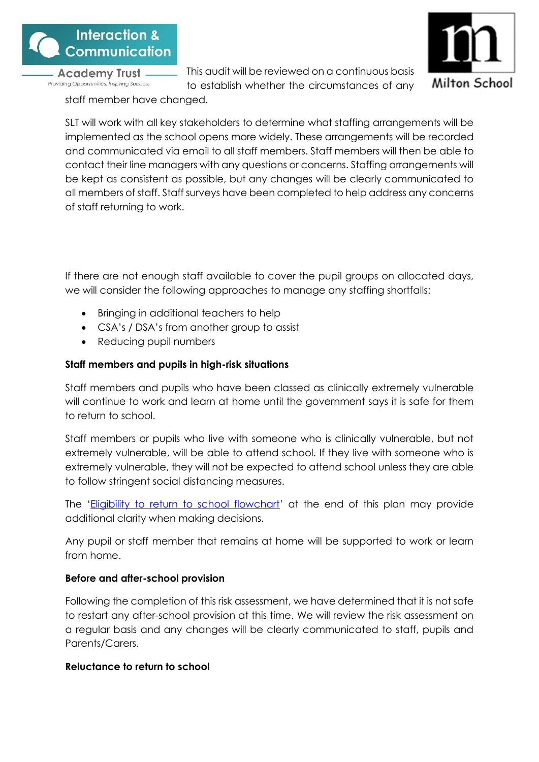

This audit will be reviewed on a continuous basis



to establish whether the circumstances of any staff member have changed.

SLT will work with all key stakeholders to determine what staffing arrangements will be implemented as the school opens more widely. These arrangements will be recorded and communicated via email to all staff members. Staff members will then be able to contact their line managers with any questions or concerns. Staffing arrangements will be kept as consistent as possible, but any changes will be clearly communicated to all members of staff. Staff surveys have been completed to help address any concerns of staff returning to work.

If there are not enough staff available to cover the pupil groups on allocated days, we will consider the following approaches to manage any staffing shortfalls:

- Bringing in additional teachers to help
- CSA's / DSA's from another group to assist
- Reducing pupil numbers

# **Staff members and pupils in high-risk situations**

Staff members and pupils who have been classed as clinically extremely vulnerable will continue to work and learn at home until the government says it is safe for them to return to school.

Staff members or pupils who live with someone who is clinically vulnerable, but not extremely vulnerable, will be able to attend school. If they live with someone who is extremely vulnerable, they will not be expected to attend school unless they are able to follow stringent social distancing measures.

The '[Eligibility to return to school flowchart](#page-31-0)' at the end of this plan may provide additional clarity when making decisions.

Any pupil or staff member that remains at home will be supported to work or learn from home.

# **Before and after-school provision**

Following the completion of this risk assessment, we have determined that it is not safe to restart any after-school provision at this time. We will review the risk assessment on a regular basis and any changes will be clearly communicated to staff, pupils and Parents/Carers.

# **Reluctance to return to school**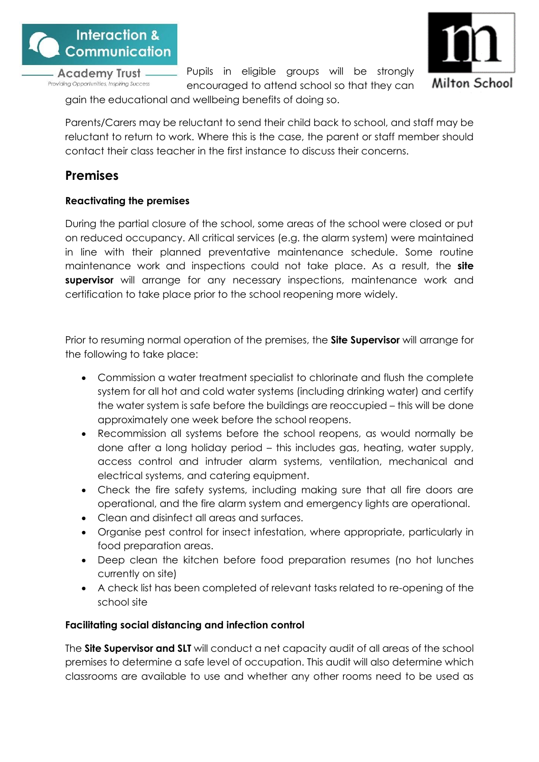

Pupils in eligible groups will be strongly encouraged to attend school so that they can



gain the educational and wellbeing benefits of doing so.

Parents/Carers may be reluctant to send their child back to school, and staff may be reluctant to return to work. Where this is the case, the parent or staff member should contact their class teacher in the first instance to discuss their concerns.

# <span id="page-5-0"></span>**Premises**

# **Reactivating the premises**

During the partial closure of the school, some areas of the school were closed or put on reduced occupancy. All critical services (e.g. the alarm system) were maintained in line with their planned preventative maintenance schedule. Some routine maintenance work and inspections could not take place. As a result, the **site supervisor** will arrange for any necessary inspections, maintenance work and certification to take place prior to the school reopening more widely.

Prior to resuming normal operation of the premises, the **Site Supervisor** will arrange for the following to take place:

- Commission a water treatment specialist to chlorinate and flush the complete system for all hot and cold water systems (including drinking water) and certify the water system is safe before the buildings are reoccupied – this will be done approximately one week before the school reopens.
- Recommission all systems before the school reopens, as would normally be done after a long holiday period – this includes gas, heating, water supply, access control and intruder alarm systems, ventilation, mechanical and electrical systems, and catering equipment.
- Check the fire safety systems, including making sure that all fire doors are operational, and the fire alarm system and emergency lights are operational.
- Clean and disinfect all areas and surfaces.
- Organise pest control for insect infestation, where appropriate, particularly in food preparation areas.
- Deep clean the kitchen before food preparation resumes (no hot lunches currently on site)
- A check list has been completed of relevant tasks related to re-opening of the school site

# **Facilitating social distancing and infection control**

The **Site Supervisor and SLT** will conduct a net capacity audit of all areas of the school premises to determine a safe level of occupation. This audit will also determine which classrooms are available to use and whether any other rooms need to be used as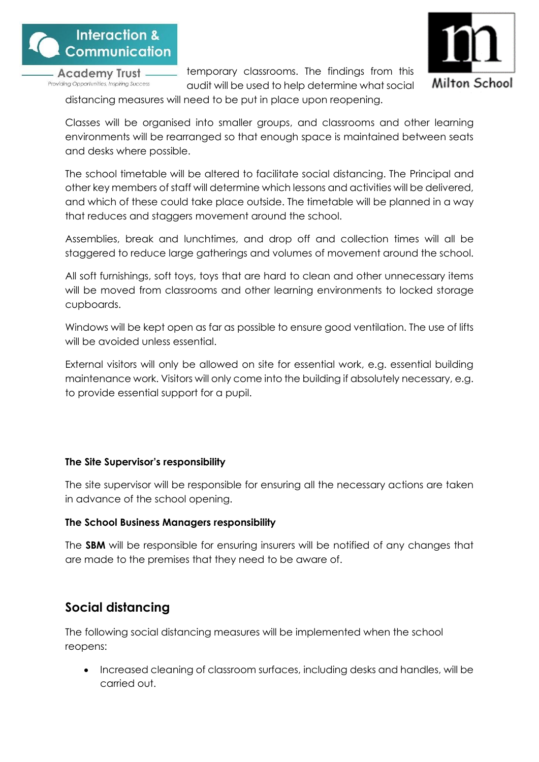



temporary classrooms. The findings from this audit will be used to help determine what social

distancing measures will need to be put in place upon reopening.

Classes will be organised into smaller groups, and classrooms and other learning environments will be rearranged so that enough space is maintained between seats and desks where possible.

The school timetable will be altered to facilitate social distancing. The Principal and other key members of staff will determine which lessons and activities will be delivered, and which of these could take place outside. The timetable will be planned in a way that reduces and staggers movement around the school.

Assemblies, break and lunchtimes, and drop off and collection times will all be staggered to reduce large gatherings and volumes of movement around the school.

All soft furnishings, soft toys, toys that are hard to clean and other unnecessary items will be moved from classrooms and other learning environments to locked storage cupboards.

Windows will be kept open as far as possible to ensure good ventilation. The use of lifts will be avoided unless essential.

External visitors will only be allowed on site for essential work, e.g. essential building maintenance work. Visitors will only come into the building if absolutely necessary, e.g. to provide essential support for a pupil.

# **The Site Supervisor's responsibility**

The site supervisor will be responsible for ensuring all the necessary actions are taken in advance of the school opening.

# **The School Business Managers responsibility**

The **SBM** will be responsible for ensuring insurers will be notified of any changes that are made to the premises that they need to be aware of.

# <span id="page-6-0"></span>**Social distancing**

The following social distancing measures will be implemented when the school reopens:

• Increased cleaning of classroom surfaces, including desks and handles, will be carried out.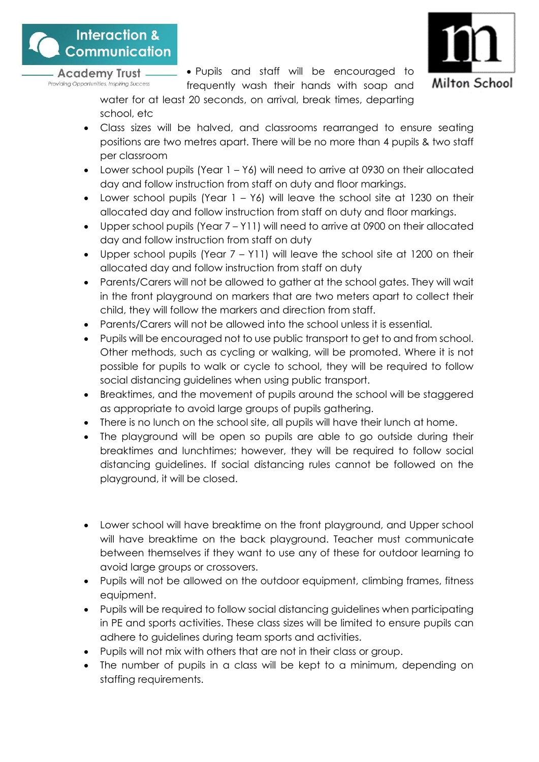

• Pupils and staff will be encouraged to



frequently wash their hands with soap and water for at least 20 seconds, on arrival, break times, departing school, etc

- Class sizes will be halved, and classrooms rearranged to ensure seating positions are two metres apart. There will be no more than 4 pupils & two staff per classroom
- Lower school pupils (Year 1 Y6) will need to arrive at 0930 on their allocated day and follow instruction from staff on duty and floor markings.
- Lower school pupils (Year  $1 Y_6$ ) will leave the school site at 1230 on their allocated day and follow instruction from staff on duty and floor markings.
- Upper school pupils (Year 7 Y11) will need to arrive at 0900 on their allocated day and follow instruction from staff on duty
- Upper school pupils (Year 7 Y11) will leave the school site at 1200 on their allocated day and follow instruction from staff on duty
- Parents/Carers will not be allowed to gather at the school gates. They will wait in the front playground on markers that are two meters apart to collect their child, they will follow the markers and direction from staff.
- Parents/Carers will not be allowed into the school unless it is essential.
- Pupils will be encouraged not to use public transport to get to and from school. Other methods, such as cycling or walking, will be promoted. Where it is not possible for pupils to walk or cycle to school, they will be required to follow social distancing guidelines when using public transport.
- Breaktimes, and the movement of pupils around the school will be staggered as appropriate to avoid large groups of pupils gathering.
- There is no lunch on the school site, all pupils will have their lunch at home.
- The playground will be open so pupils are able to go outside during their breaktimes and lunchtimes; however, they will be required to follow social distancing guidelines. If social distancing rules cannot be followed on the playground, it will be closed.
- Lower school will have breaktime on the front playground, and Upper school will have breaktime on the back playground. Teacher must communicate between themselves if they want to use any of these for outdoor learning to avoid large groups or crossovers.
- Pupils will not be allowed on the outdoor equipment, climbing frames, fitness equipment.
- Pupils will be required to follow social distancing guidelines when participating in PE and sports activities. These class sizes will be limited to ensure pupils can adhere to guidelines during team sports and activities.
- Pupils will not mix with others that are not in their class or group.
- The number of pupils in a class will be kept to a minimum, depending on staffing requirements.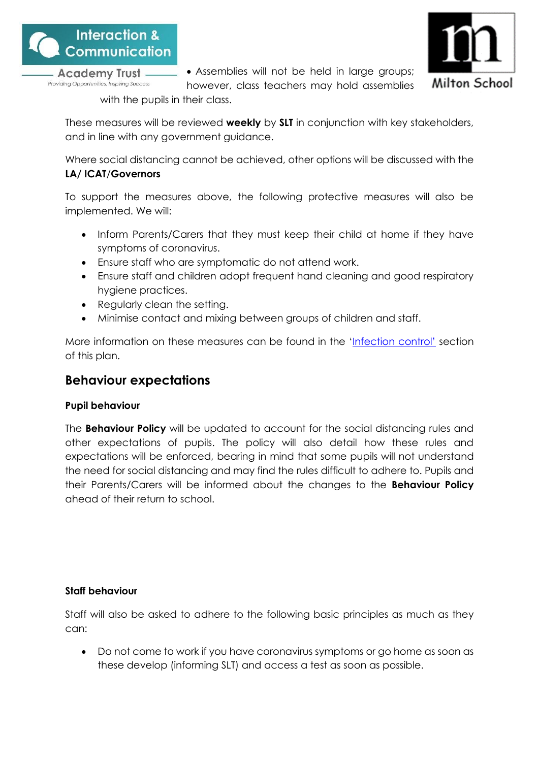





however, class teachers may hold assemblies

with the pupils in their class.

These measures will be reviewed **weekly** by **SLT** in conjunction with key stakeholders, and in line with any government guidance.

Where social distancing cannot be achieved, other options will be discussed with the **LA/ ICAT**/**Governors**

To support the measures above, the following protective measures will also be implemented. We will:

- Inform Parents/Carers that they must keep their child at home if they have symptoms of coronavirus.
- Ensure staff who are symptomatic do not attend work.
- Ensure staff and children adopt frequent hand cleaning and good respiratory hygiene practices.
- Regularly clean the setting.
- Minimise contact and mixing between groups of children and staff.

More information on these measures can be found in the ['Infection control'](#page-9-0) section of this plan.

# <span id="page-8-0"></span>**Behaviour expectations**

# **Pupil behaviour**

The **Behaviour Policy** will be updated to account for the social distancing rules and other expectations of pupils. The policy will also detail how these rules and expectations will be enforced, bearing in mind that some pupils will not understand the need for social distancing and may find the rules difficult to adhere to. Pupils and their Parents/Carers will be informed about the changes to the **Behaviour Policy** ahead of their return to school.

# **Staff behaviour**

Staff will also be asked to adhere to the following basic principles as much as they can:

• Do not come to work if you have coronavirus symptoms or go home as soon as these develop (informing SLT) and access a test as soon as possible.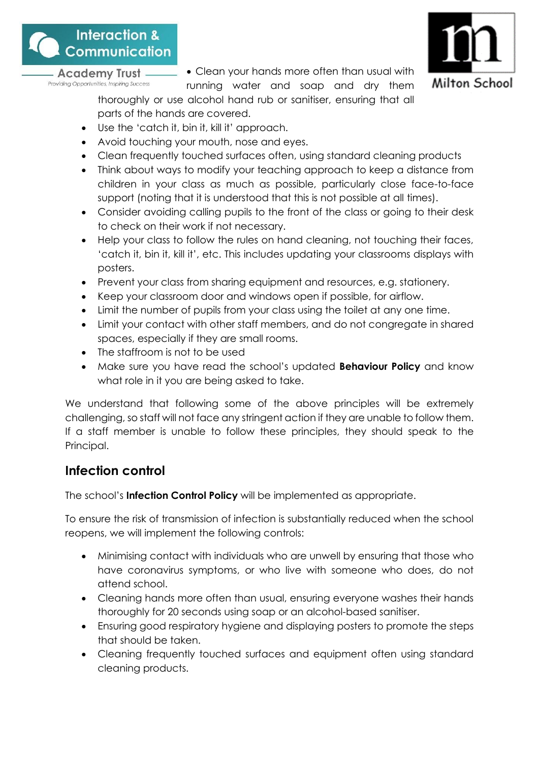

• Clean your hands more often than usual with



running water and soap and dry them thoroughly or use alcohol hand rub or sanitiser, ensuring that all parts of the hands are covered.

- Use the 'catch it, bin it, kill it' approach.
- Avoid touching your mouth, nose and eyes.
- Clean frequently touched surfaces often, using standard cleaning products
- Think about ways to modify your teaching approach to keep a distance from children in your class as much as possible, particularly close face-to-face support (noting that it is understood that this is not possible at all times).
- Consider avoiding calling pupils to the front of the class or going to their desk to check on their work if not necessary.
- Help your class to follow the rules on hand cleaning, not touching their faces, 'catch it, bin it, kill it', etc. This includes updating your classrooms displays with posters.
- Prevent your class from sharing equipment and resources, e.g. stationery.
- Keep your classroom door and windows open if possible, for airflow.
- Limit the number of pupils from your class using the toilet at any one time.
- Limit your contact with other staff members, and do not congregate in shared spaces, especially if they are small rooms.
- The staffroom is not to be used
- Make sure you have read the school's updated **Behaviour Policy** and know what role in it you are being asked to take.

We understand that following some of the above principles will be extremely challenging, so staff will not face any stringent action if they are unable to follow them. If a staff member is unable to follow these principles, they should speak to the Principal.

# <span id="page-9-0"></span>**Infection control**

The school's **Infection Control Policy** will be implemented as appropriate.

To ensure the risk of transmission of infection is substantially reduced when the school reopens, we will implement the following controls:

- Minimising contact with individuals who are unwell by ensuring that those who have coronavirus symptoms, or who live with someone who does, do not attend school.
- Cleaning hands more often than usual, ensuring everyone washes their hands thoroughly for 20 seconds using soap or an alcohol-based sanitiser.
- Ensuring good respiratory hygiene and displaying posters to promote the steps that should be taken.
- Cleaning frequently touched surfaces and equipment often using standard cleaning products.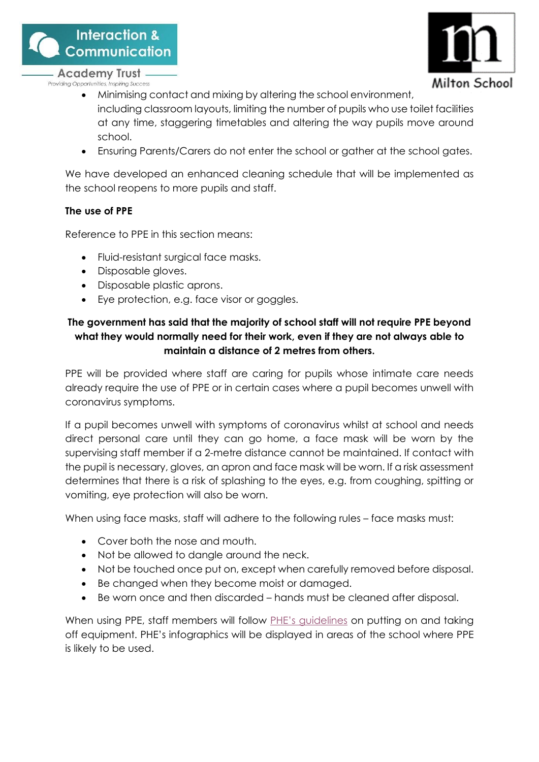



- **Academy Trust** Providing Opportunities, Inspiring Success
	- Minimising contact and mixing by altering the school environment, including classroom layouts, limiting the number of pupils who use toilet facilities at any time, staggering timetables and altering the way pupils move around school.
	- Ensuring Parents/Carers do not enter the school or gather at the school gates.

We have developed an enhanced cleaning schedule that will be implemented as the school reopens to more pupils and staff.

#### **The use of PPE**

Reference to PPE in this section means:

- Fluid-resistant surgical face masks.
- Disposable gloves.
- Disposable plastic aprons.
- Eye protection, e.g. face visor or goggles.

# **The government has said that the majority of school staff will not require PPE beyond what they would normally need for their work, even if they are not always able to maintain a distance of 2 metres from others.**

PPE will be provided where staff are caring for pupils whose intimate care needs already require the use of PPE or in certain cases where a pupil becomes unwell with coronavirus symptoms.

If a pupil becomes unwell with symptoms of coronavirus whilst at school and needs direct personal care until they can go home, a face mask will be worn by the supervising staff member if a 2-metre distance cannot be maintained. If contact with the pupil is necessary, gloves, an apron and face mask will be worn. If a risk assessment determines that there is a risk of splashing to the eyes, e.g. from coughing, spitting or vomiting, eye protection will also be worn.

When using face masks, staff will adhere to the following rules – face masks must:

- Cover both the nose and mouth.
- Not be allowed to danale around the neck.
- Not be touched once put on, except when carefully removed before disposal.
- Be changed when they become moist or damaged.
- Be worn once and then discarded hands must be cleaned after disposal.

When using PPE, staff members will follow [PHE's guidelines](https://www.gov.uk/government/publications/covid-19-personal-protective-equipment-use-for-non-aerosol-generating-procedures) on putting on and taking off equipment. PHE's infographics will be displayed in areas of the school where PPE is likely to be used.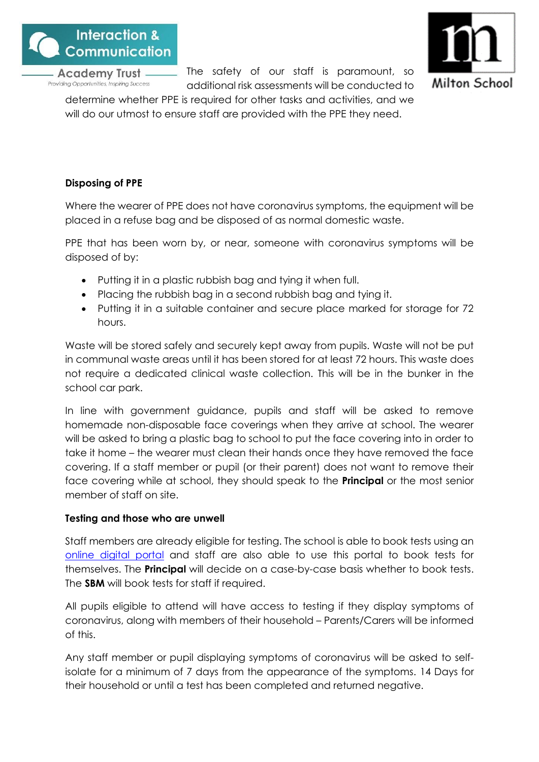

The safety of our staff is paramount, so additional risk assessments will be conducted to



determine whether PPE is required for other tasks and activities, and we will do our utmost to ensure staff are provided with the PPE they need.

# **Disposing of PPE**

Where the wearer of PPE does not have coronavirus symptoms, the equipment will be placed in a refuse bag and be disposed of as normal domestic waste.

PPE that has been worn by, or near, someone with coronavirus symptoms will be disposed of by:

- Putting it in a plastic rubbish bag and tying it when full.
- Placing the rubbish bag in a second rubbish bag and tying it.
- Putting it in a suitable container and secure place marked for storage for 72 hours.

Waste will be stored safely and securely kept away from pupils. Waste will not be put in communal waste areas until it has been stored for at least 72 hours. This waste does not require a dedicated clinical waste collection. This will be in the bunker in the school car park.

In line with government guidance, pupils and staff will be asked to remove homemade non-disposable face coverings when they arrive at school. The wearer will be asked to bring a plastic bag to school to put the face covering into in order to take it home – the wearer must clean their hands once they have removed the face covering. If a staff member or pupil (or their parent) does not want to remove their face covering while at school, they should speak to the **Principal** or the most senior member of staff on site.

# **Testing and those who are unwell**

Staff members are already eligible for testing. The school is able to book tests using an [online digital portal](https://www.gov.uk/apply-coronavirus-test) and staff are also able to use this portal to book tests for themselves. The **Principal** will decide on a case-by-case basis whether to book tests. The **SBM** will book tests for staff if required.

All pupils eligible to attend will have access to testing if they display symptoms of coronavirus, along with members of their household – Parents/Carers will be informed of this.

Any staff member or pupil displaying symptoms of coronavirus will be asked to selfisolate for a minimum of 7 days from the appearance of the symptoms. 14 Days for their household or until a test has been completed and returned negative.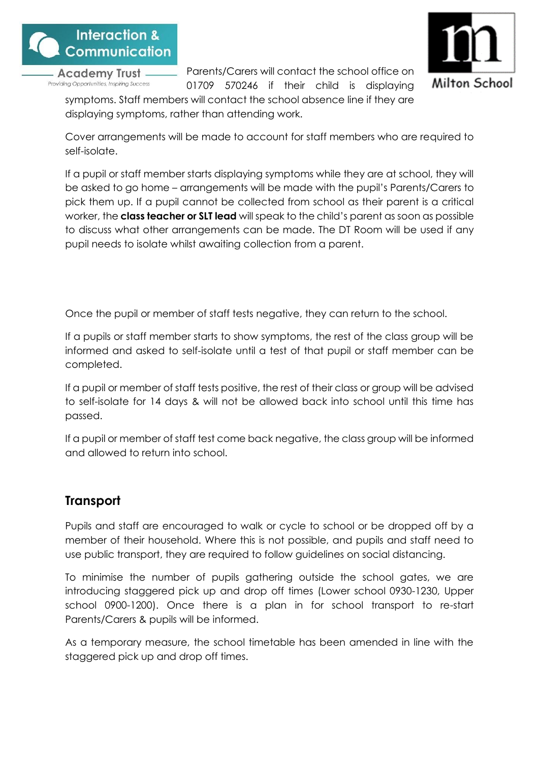



Parents/Carers will contact the school office on

01709 570246 if their child is displaying symptoms. Staff members will contact the school absence line if they are displaying symptoms, rather than attending work.

Cover arrangements will be made to account for staff members who are required to self-isolate.

If a pupil or staff member starts displaying symptoms while they are at school, they will be asked to go home – arrangements will be made with the pupil's Parents/Carers to pick them up. If a pupil cannot be collected from school as their parent is a critical worker, the **class teacher or SLT lead** will speak to the child's parent as soon as possible to discuss what other arrangements can be made. The DT Room will be used if any pupil needs to isolate whilst awaiting collection from a parent.

Once the pupil or member of staff tests negative, they can return to the school.

If a pupils or staff member starts to show symptoms, the rest of the class group will be informed and asked to self-isolate until a test of that pupil or staff member can be completed.

If a pupil or member of staff tests positive, the rest of their class or group will be advised to self-isolate for 14 days & will not be allowed back into school until this time has passed.

If a pupil or member of staff test come back negative, the class group will be informed and allowed to return into school.

# <span id="page-12-0"></span>**Transport**

Pupils and staff are encouraged to walk or cycle to school or be dropped off by a member of their household. Where this is not possible, and pupils and staff need to use public transport, they are required to follow guidelines on social distancing.

To minimise the number of pupils gathering outside the school gates, we are introducing staggered pick up and drop off times (Lower school 0930-1230, Upper school 0900-1200). Once there is a plan in for school transport to re-start Parents/Carers & pupils will be informed.

As a temporary measure, the school timetable has been amended in line with the staggered pick up and drop off times.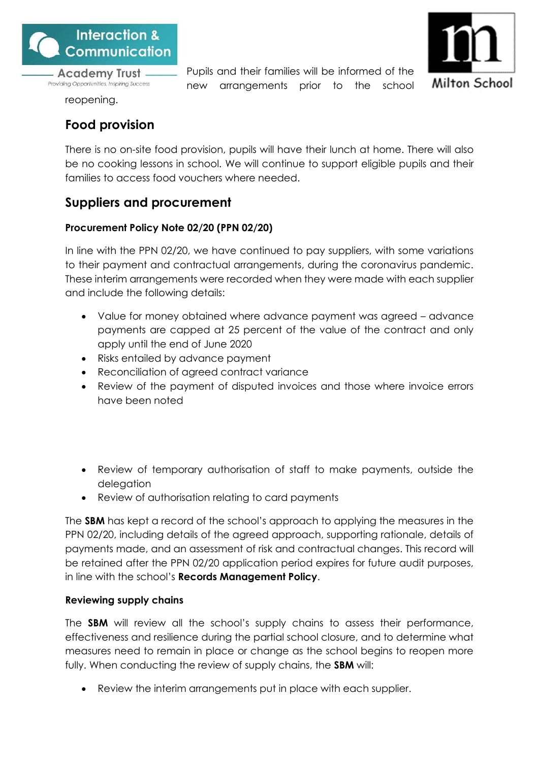

Pupils and their families will be informed of the new arrangements prior to the school



reopening.

# <span id="page-13-0"></span>**Food provision**

There is no on-site food provision, pupils will have their lunch at home. There will also be no cooking lessons in school. We will continue to support eligible pupils and their families to access food vouchers where needed.

# <span id="page-13-1"></span>**Suppliers and procurement**

# **Procurement Policy Note 02/20 (PPN 02/20)**

In line with the PPN 02/20, we have continued to pay suppliers, with some variations to their payment and contractual arrangements, during the coronavirus pandemic. These interim arrangements were recorded when they were made with each supplier and include the following details:

- Value for money obtained where advance payment was agreed advance payments are capped at 25 percent of the value of the contract and only apply until the end of June 2020
- Risks entailed by advance payment
- Reconciliation of agreed contract variance
- Review of the payment of disputed invoices and those where invoice errors have been noted
- Review of temporary authorisation of staff to make payments, outside the delegation
- Review of authorisation relating to card payments

The **SBM** has kept a record of the school's approach to applying the measures in the PPN 02/20, including details of the agreed approach, supporting rationale, details of payments made, and an assessment of risk and contractual changes. This record will be retained after the PPN 02/20 application period expires for future audit purposes, in line with the school's **Records Management Policy**.

# **Reviewing supply chains**

The **SBM** will review all the school's supply chains to assess their performance, effectiveness and resilience during the partial school closure, and to determine what measures need to remain in place or change as the school begins to reopen more fully. When conducting the review of supply chains, the **SBM** will:

Review the interim arrangements put in place with each supplier.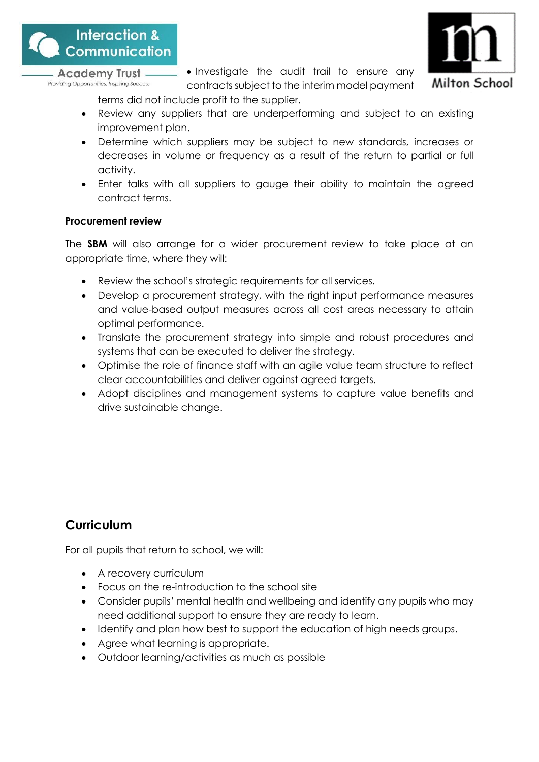

• Investigate the audit trail to ensure any contracts subject to the interim model payment



- terms did not include profit to the supplier. • Review any suppliers that are underperforming and subject to an existing improvement plan.
- Determine which suppliers may be subject to new standards, increases or decreases in volume or frequency as a result of the return to partial or full activity.
- Enter talks with all suppliers to gauge their ability to maintain the agreed contract terms.

# **Procurement review**

The **SBM** will also arrange for a wider procurement review to take place at an appropriate time, where they will:

- Review the school's strategic requirements for all services.
- Develop a procurement strategy, with the right input performance measures and value-based output measures across all cost areas necessary to attain optimal performance.
- Translate the procurement strategy into simple and robust procedures and systems that can be executed to deliver the strategy.
- Optimise the role of finance staff with an agile value team structure to reflect clear accountabilities and deliver against agreed targets.
- Adopt disciplines and management systems to capture value benefits and drive sustainable change.

# <span id="page-14-0"></span>**Curriculum**

For all pupils that return to school, we will:

- A recovery curriculum
- Focus on the re-introduction to the school site
- Consider pupils' mental health and wellbeing and identify any pupils who may need additional support to ensure they are ready to learn.
- Identify and plan how best to support the education of high needs groups.
- Agree what learning is appropriate.
- Outdoor learning/activities as much as possible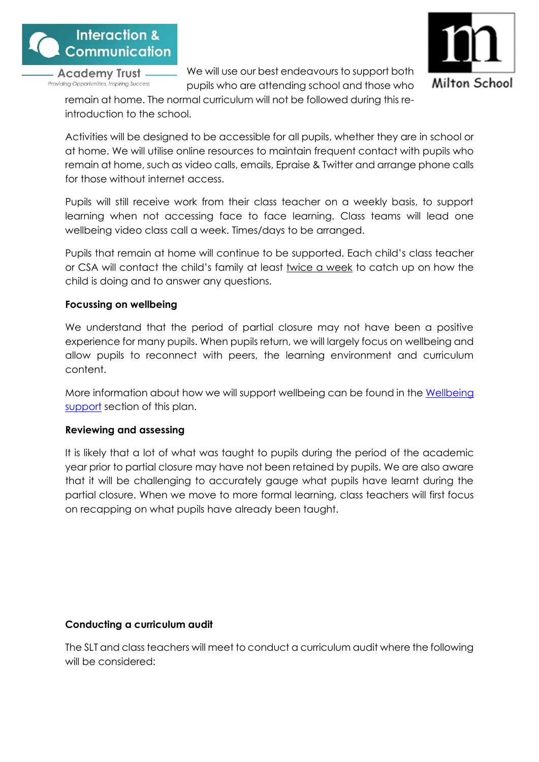

We will use our best endeavours to support both pupils who are attending school and those who



remain at home. The normal curriculum will not be followed during this reintroduction to the school.

Activities will be designed to be accessible for all pupils, whether they are in school or at home. We will utilise online resources to maintain frequent contact with pupils who remain at home, such as video calls, emails, Epraise & Twitter and arrange phone calls for those without internet access.

Pupils will still receive work from their class teacher on a weekly basis, to support learning when not accessing face to face learning. Class teams will lead one wellbeing video class call a week. Times/days to be arranged.

Pupils that remain at home will continue to be supported. Each child's class teacher or CSA will contact the child's family at least twice a week to catch up on how the child is doing and to answer any questions.

# **Focussing on wellbeing**

We understand that the period of partial closure may not have been a positive experience for many pupils. When pupils return, we will largely focus on wellbeing and allow pupils to reconnect with peers, the learning environment and curriculum content.

More information about how we will support wellbeing can be found in the [Wellbeing](#page-25-0)  [support](#page-25-0) section of this plan.

#### **Reviewing and assessing**

It is likely that a lot of what was taught to pupils during the period of the academic year prior to partial closure may have not been retained by pupils. We are also aware that it will be challenging to accurately gauge what pupils have learnt during the partial closure. When we move to more formal learning, class teachers will first focus on recapping on what pupils have already been taught.

#### **Conducting a curriculum audit**

The SLT and class teachers will meet to conduct a curriculum audit where the following will be considered: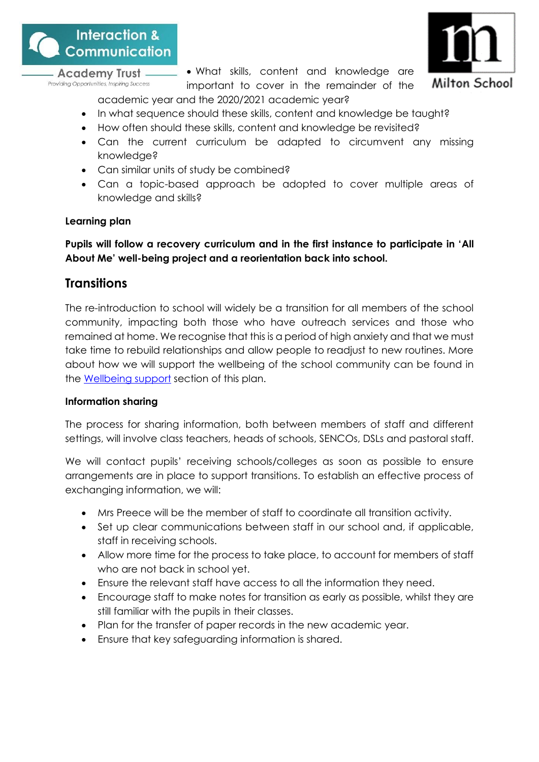



• What skills, content and knowledge are important to cover in the remainder of the academic year and the 2020/2021 academic year?

- In what sequence should these skills, content and knowledge be taught?
- How often should these skills, content and knowledge be revisited?
- Can the current curriculum be adapted to circumvent any missing knowledge?
- Can similar units of study be combined?
- Can a topic-based approach be adopted to cover multiple areas of knowledge and skills?

#### **Learning plan**

**Pupils will follow a recovery curriculum and in the first instance to participate in 'All About Me' well-being project and a reorientation back into school.**

# <span id="page-16-0"></span>**Transitions**

The re-introduction to school will widely be a transition for all members of the school community, impacting both those who have outreach services and those who remained at home. We recognise that this is a period of high anxiety and that we must take time to rebuild relationships and allow people to readjust to new routines. More about how we will support the wellbeing of the school community can be found in the [Wellbeing support](#page-25-0) section of this plan.

#### **Information sharing**

The process for sharing information, both between members of staff and different settings, will involve class teachers, heads of schools, SENCOs, DSLs and pastoral staff.

We will contact pupils' receiving schools/colleges as soon as possible to ensure arrangements are in place to support transitions. To establish an effective process of exchanging information, we will:

- Mrs Preece will be the member of staff to coordinate all transition activity.
- Set up clear communications between staff in our school and, if applicable, staff in receiving schools.
- Allow more time for the process to take place, to account for members of staff who are not back in school yet.
- Ensure the relevant staff have access to all the information they need.
- Encourage staff to make notes for transition as early as possible, whilst they are still familiar with the pupils in their classes.
- Plan for the transfer of paper records in the new academic year.
- Ensure that key safeguarding information is shared.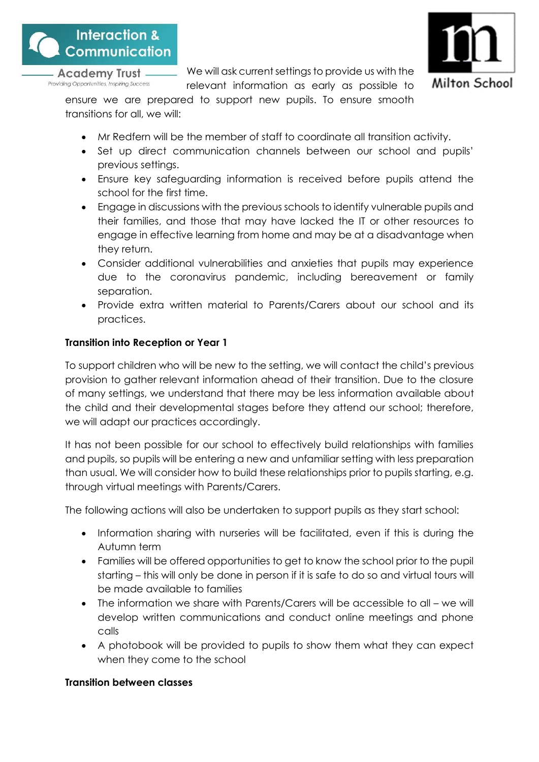

We will ask current settings to provide us with the relevant information as early as possible to



ensure we are prepared to support new pupils. To ensure smooth transitions for all, we will:

- Mr Redfern will be the member of staff to coordinate all transition activity.
- Set up direct communication channels between our school and pupils' previous settings.
- Ensure key safeguarding information is received before pupils attend the school for the first time.
- Engage in discussions with the previous schools to identify vulnerable pupils and their families, and those that may have lacked the IT or other resources to engage in effective learning from home and may be at a disadvantage when they return.
- Consider additional vulnerabilities and anxieties that pupils may experience due to the coronavirus pandemic, including bereavement or family separation.
- Provide extra written material to Parents/Carers about our school and its practices.

# **Transition into Reception or Year 1**

To support children who will be new to the setting, we will contact the child's previous provision to gather relevant information ahead of their transition. Due to the closure of many settings, we understand that there may be less information available about the child and their developmental stages before they attend our school; therefore, we will adapt our practices accordingly.

It has not been possible for our school to effectively build relationships with families and pupils, so pupils will be entering a new and unfamiliar setting with less preparation than usual. We will consider how to build these relationships prior to pupils starting, e.g. through virtual meetings with Parents/Carers.

The following actions will also be undertaken to support pupils as they start school:

- Information sharing with nurseries will be facilitated, even if this is during the Autumn term
- Families will be offered opportunities to get to know the school prior to the pupil starting – this will only be done in person if it is safe to do so and virtual tours will be made available to families
- The information we share with Parents/Carers will be accessible to all we will develop written communications and conduct online meetings and phone calls
- A photobook will be provided to pupils to show them what they can expect when they come to the school

# **Transition between classes**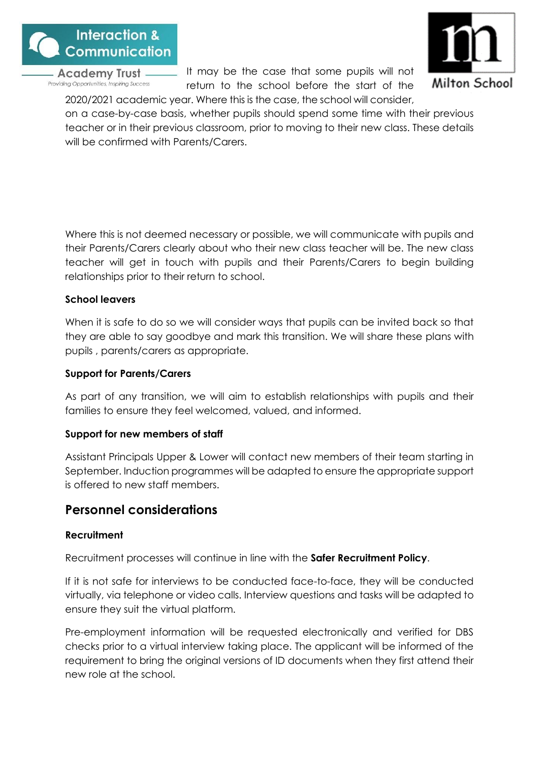





on a case-by-case basis, whether pupils should spend some time with their previous teacher or in their previous classroom, prior to moving to their new class. These details will be confirmed with Parents/Carers.

Where this is not deemed necessary or possible, we will communicate with pupils and their Parents/Carers clearly about who their new class teacher will be. The new class teacher will get in touch with pupils and their Parents/Carers to begin building relationships prior to their return to school.

#### **School leavers**

When it is safe to do so we will consider ways that pupils can be invited back so that they are able to say goodbye and mark this transition. We will share these plans with pupils , parents/carers as appropriate.

#### **Support for Parents/Carers**

As part of any transition, we will aim to establish relationships with pupils and their families to ensure they feel welcomed, valued, and informed.

#### **Support for new members of staff**

Assistant Principals Upper & Lower will contact new members of their team starting in September. Induction programmes will be adapted to ensure the appropriate support is offered to new staff members.

# <span id="page-18-0"></span>**Personnel considerations**

#### **Recruitment**

Recruitment processes will continue in line with the **Safer Recruitment Policy**.

If it is not safe for interviews to be conducted face-to-face, they will be conducted virtually, via telephone or video calls. Interview questions and tasks will be adapted to ensure they suit the virtual platform.

Pre-employment information will be requested electronically and verified for DBS checks prior to a virtual interview taking place. The applicant will be informed of the requirement to bring the original versions of ID documents when they first attend their new role at the school.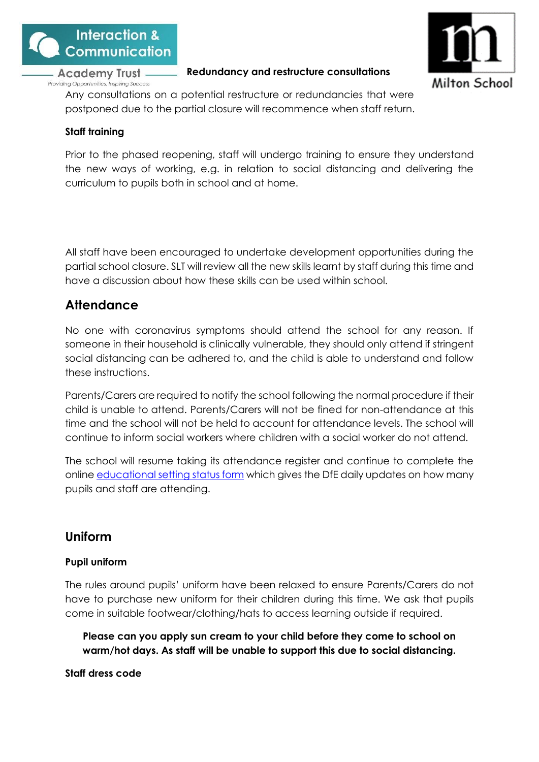

#### **Redundancy and restructure consultations**



Any consultations on a potential restructure or redundancies that were postponed due to the partial closure will recommence when staff return.

# **Staff training**

Prior to the phased reopening, staff will undergo training to ensure they understand the new ways of working, e.g. in relation to social distancing and delivering the curriculum to pupils both in school and at home.

All staff have been encouraged to undertake development opportunities during the partial school closure. SLT will review all the new skills learnt by staff during this time and have a discussion about how these skills can be used within school.

# <span id="page-19-0"></span>**Attendance**

No one with coronavirus symptoms should attend the school for any reason. If someone in their household is clinically vulnerable, they should only attend if stringent social distancing can be adhered to, and the child is able to understand and follow these instructions.

Parents/Carers are required to notify the school following the normal procedure if their child is unable to attend. Parents/Carers will not be fined for non-attendance at this time and the school will not be held to account for attendance levels. The school will continue to inform social workers where children with a social worker do not attend.

The school will resume taking its attendance register and continue to complete the onlin[e educational setting status form](https://form.education.gov.uk/service/educational-setting-status) which gives the DfE daily updates on how many pupils and staff are attending.

# <span id="page-19-1"></span>**Uniform**

# **Pupil uniform**

The rules around pupils' uniform have been relaxed to ensure Parents/Carers do not have to purchase new uniform for their children during this time. We ask that pupils come in suitable footwear/clothing/hats to access learning outside if required.

**Please can you apply sun cream to your child before they come to school on warm/hot days. As staff will be unable to support this due to social distancing.**

**Staff dress code**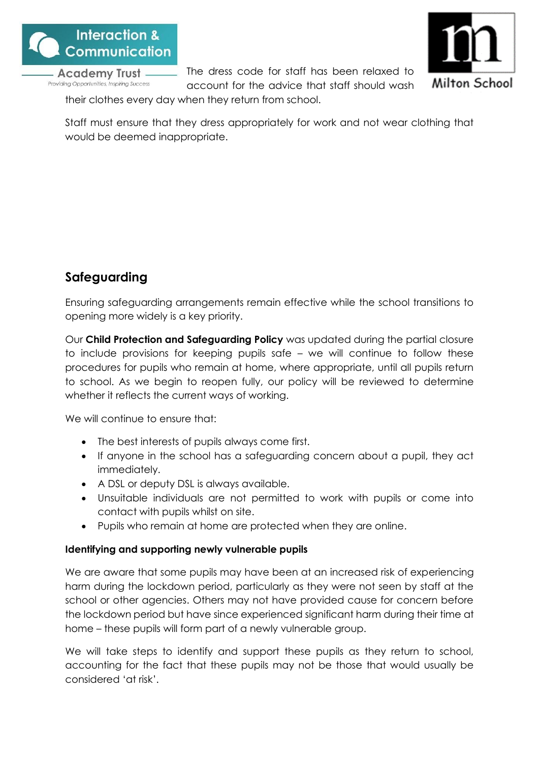

The dress code for staff has been relaxed to account for the advice that staff should wash



their clothes every day when they return from school.

Staff must ensure that they dress appropriately for work and not wear clothing that would be deemed inappropriate.

# <span id="page-20-0"></span>**Safeguarding**

Ensuring safeguarding arrangements remain effective while the school transitions to opening more widely is a key priority.

Our **Child Protection and Safeguarding Policy** was updated during the partial closure to include provisions for keeping pupils safe – we will continue to follow these procedures for pupils who remain at home, where appropriate, until all pupils return to school. As we begin to reopen fully, our policy will be reviewed to determine whether it reflects the current ways of working.

We will continue to ensure that:

- The best interests of pupils always come first.
- If anyone in the school has a safeguarding concern about a pupil, they act immediately.
- A DSL or deputy DSL is always available.
- Unsuitable individuals are not permitted to work with pupils or come into contact with pupils whilst on site.
- Pupils who remain at home are protected when they are online.

# **Identifying and supporting newly vulnerable pupils**

We are aware that some pupils may have been at an increased risk of experiencing harm during the lockdown period, particularly as they were not seen by staff at the school or other agencies. Others may not have provided cause for concern before the lockdown period but have since experienced significant harm during their time at home – these pupils will form part of a newly vulnerable group.

We will take steps to identify and support these pupils as they return to school, accounting for the fact that these pupils may not be those that would usually be considered 'at risk'.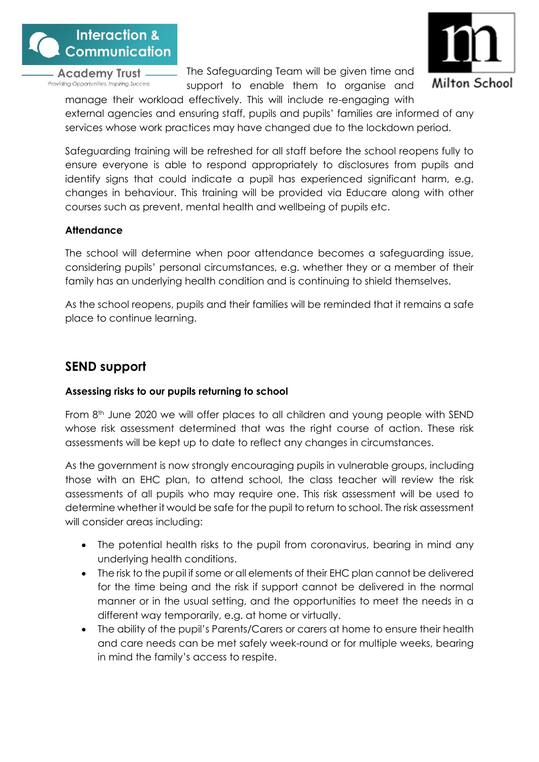

The Safeguarding Team will be given time and support to enable them to organise and



manage their workload effectively. This will include re-engaging with external agencies and ensuring staff, pupils and pupils' families are informed of any services whose work practices may have changed due to the lockdown period.

Safeguarding training will be refreshed for all staff before the school reopens fully to ensure everyone is able to respond appropriately to disclosures from pupils and identify signs that could indicate a pupil has experienced significant harm, e.g. changes in behaviour. This training will be provided via Educare along with other courses such as prevent, mental health and wellbeing of pupils etc.

# **Attendance**

The school will determine when poor attendance becomes a safeguarding issue, considering pupils' personal circumstances, e.g. whether they or a member of their family has an underlying health condition and is continuing to shield themselves.

As the school reopens, pupils and their families will be reminded that it remains a safe place to continue learning.

# <span id="page-21-0"></span>**SEND support**

# **Assessing risks to our pupils returning to school**

From 8<sup>th</sup> June 2020 we will offer places to all children and young people with SEND whose risk assessment determined that was the right course of action. These risk assessments will be kept up to date to reflect any changes in circumstances.

As the government is now strongly encouraging pupils in vulnerable groups, including those with an EHC plan, to attend school, the class teacher will review the risk assessments of all pupils who may require one. This risk assessment will be used to determine whether it would be safe for the pupil to return to school. The risk assessment will consider areas including:

- The potential health risks to the pupil from coronavirus, bearing in mind any underlying health conditions.
- The risk to the pupil if some or all elements of their EHC plan cannot be delivered for the time being and the risk if support cannot be delivered in the normal manner or in the usual setting, and the opportunities to meet the needs in a different way temporarily, e.g. at home or virtually.
- The ability of the pupil's Parents/Carers or carers at home to ensure their health and care needs can be met safely week-round or for multiple weeks, bearing in mind the family's access to respite.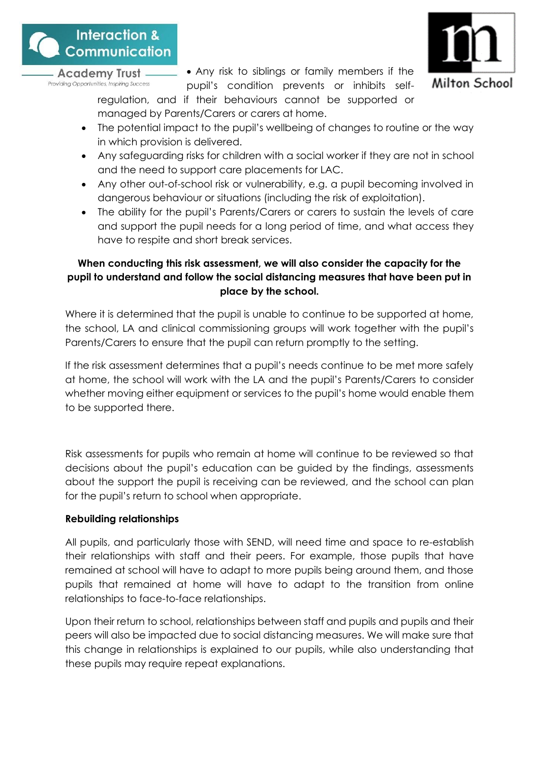



• Any risk to siblings or family members if the pupil's condition prevents or inhibits self-

regulation, and if their behaviours cannot be supported or managed by Parents/Carers or carers at home.

- The potential impact to the pupil's wellbeing of changes to routine or the way in which provision is delivered.
- Any safeguarding risks for children with a social worker if they are not in school and the need to support care placements for LAC.
- Any other out-of-school risk or vulnerability, e.g. a pupil becoming involved in dangerous behaviour or situations (including the risk of exploitation).
- The ability for the pupil's Parents/Carers or carers to sustain the levels of care and support the pupil needs for a long period of time, and what access they have to respite and short break services.

# **When conducting this risk assessment, we will also consider the capacity for the pupil to understand and follow the social distancing measures that have been put in place by the school.**

Where it is determined that the pupil is unable to continue to be supported at home, the school, LA and clinical commissioning groups will work together with the pupil's Parents/Carers to ensure that the pupil can return promptly to the setting.

If the risk assessment determines that a pupil's needs continue to be met more safely at home, the school will work with the LA and the pupil's Parents/Carers to consider whether moving either equipment or services to the pupil's home would enable them to be supported there.

Risk assessments for pupils who remain at home will continue to be reviewed so that decisions about the pupil's education can be guided by the findings, assessments about the support the pupil is receiving can be reviewed, and the school can plan for the pupil's return to school when appropriate.

# **Rebuilding relationships**

All pupils, and particularly those with SEND, will need time and space to re-establish their relationships with staff and their peers. For example, those pupils that have remained at school will have to adapt to more pupils being around them, and those pupils that remained at home will have to adapt to the transition from online relationships to face-to-face relationships.

Upon their return to school, relationships between staff and pupils and pupils and their peers will also be impacted due to social distancing measures. We will make sure that this change in relationships is explained to our pupils, while also understanding that these pupils may require repeat explanations.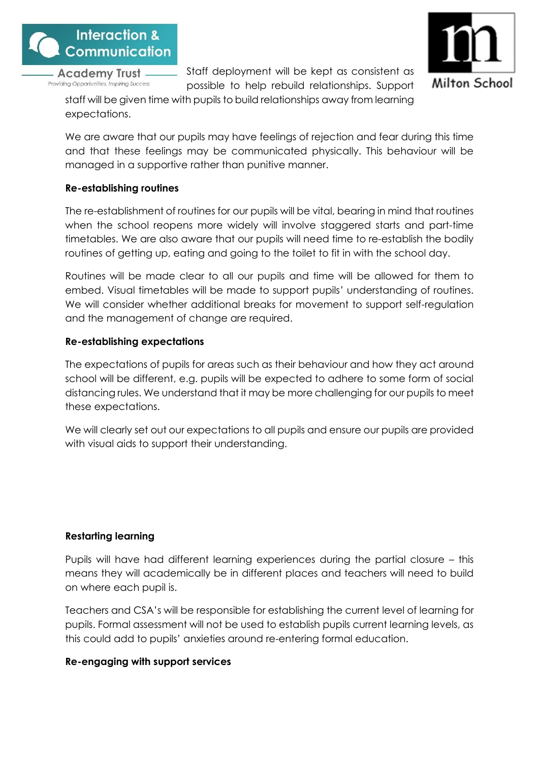



Staff deployment will be kept as consistent as possible to help rebuild relationships. Support

staff will be given time with pupils to build relationships away from learning expectations.

We are aware that our pupils may have feelings of rejection and fear during this time and that these feelings may be communicated physically. This behaviour will be managed in a supportive rather than punitive manner.

# **Re-establishing routines**

The re-establishment of routines for our pupils will be vital, bearing in mind that routines when the school reopens more widely will involve staggered starts and part-time timetables. We are also aware that our pupils will need time to re-establish the bodily routines of getting up, eating and going to the toilet to fit in with the school day.

Routines will be made clear to all our pupils and time will be allowed for them to embed. Visual timetables will be made to support pupils' understanding of routines. We will consider whether additional breaks for movement to support self-regulation and the management of change are required.

# **Re-establishing expectations**

The expectations of pupils for areas such as their behaviour and how they act around school will be different, e.g. pupils will be expected to adhere to some form of social distancing rules. We understand that it may be more challenging for our pupils to meet these expectations.

We will clearly set out our expectations to all pupils and ensure our pupils are provided with visual aids to support their understanding.

# **Restarting learning**

Pupils will have had different learning experiences during the partial closure – this means they will academically be in different places and teachers will need to build on where each pupil is.

Teachers and CSA's will be responsible for establishing the current level of learning for pupils. Formal assessment will not be used to establish pupils current learning levels, as this could add to pupils' anxieties around re-entering formal education.

# **Re-engaging with support services**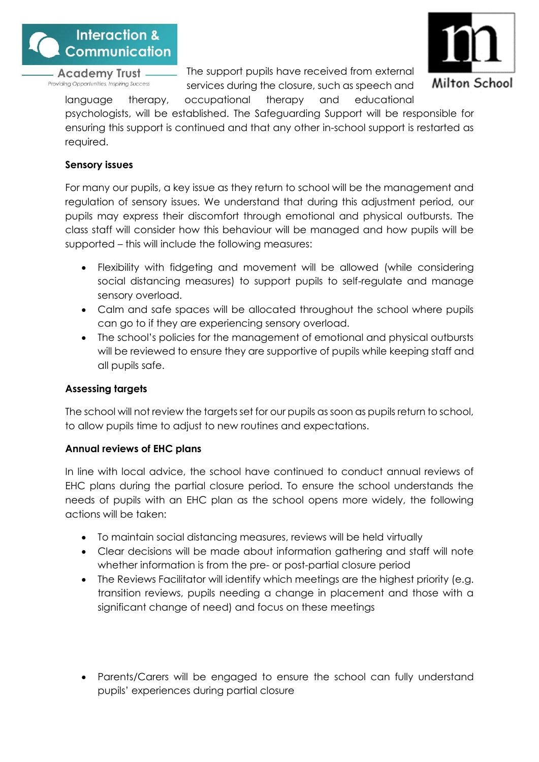

The support pupils have received from external services during the closure, such as speech and



language therapy, occupational therapy and educational psychologists, will be established. The Safeguarding Support will be responsible for ensuring this support is continued and that any other in-school support is restarted as required.

# **Sensory issues**

For many our pupils, a key issue as they return to school will be the management and regulation of sensory issues. We understand that during this adjustment period, our pupils may express their discomfort through emotional and physical outbursts. The class staff will consider how this behaviour will be managed and how pupils will be supported – this will include the following measures:

- Flexibility with fidgeting and movement will be allowed (while considering social distancing measures) to support pupils to self-regulate and manage sensory overload.
- Calm and safe spaces will be allocated throughout the school where pupils can go to if they are experiencing sensory overload.
- The school's policies for the management of emotional and physical outbursts will be reviewed to ensure they are supportive of pupils while keeping staff and all pupils safe.

# **Assessing targets**

The school will not review the targets set for our pupils as soon as pupils return to school, to allow pupils time to adjust to new routines and expectations.

# **Annual reviews of EHC plans**

In line with local advice, the school have continued to conduct annual reviews of EHC plans during the partial closure period. To ensure the school understands the needs of pupils with an EHC plan as the school opens more widely, the following actions will be taken:

- To maintain social distancing measures, reviews will be held virtually
- Clear decisions will be made about information gathering and staff will note whether information is from the pre- or post-partial closure period
- The Reviews Facilitator will identify which meetings are the highest priority (e.g. transition reviews, pupils needing a change in placement and those with a significant change of need) and focus on these meetings
- Parents/Carers will be engaged to ensure the school can fully understand pupils' experiences during partial closure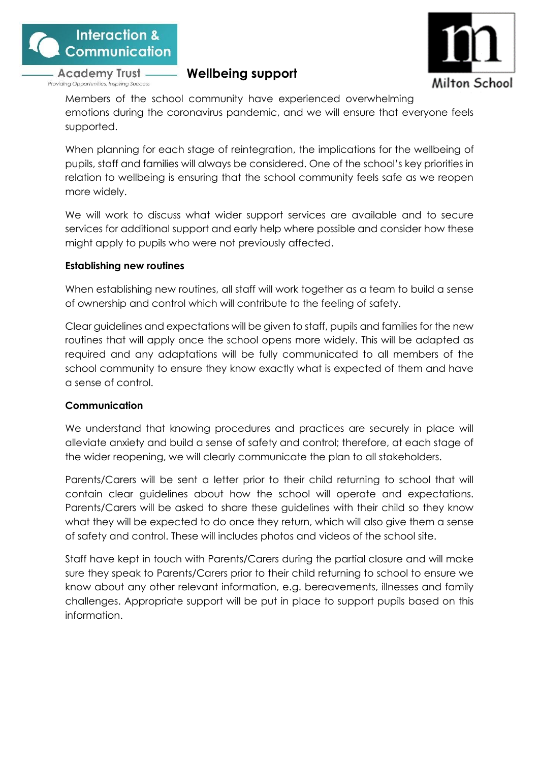

# <span id="page-25-0"></span>**Wellbeing support**



Members of the school community have experienced overwhelming emotions during the coronavirus pandemic, and we will ensure that everyone feels supported.

When planning for each stage of reintegration, the implications for the wellbeing of pupils, staff and families will always be considered. One of the school's key priorities in relation to wellbeing is ensuring that the school community feels safe as we reopen more widely.

We will work to discuss what wider support services are available and to secure services for additional support and early help where possible and consider how these might apply to pupils who were not previously affected.

#### **Establishing new routines**

When establishing new routines, all staff will work together as a team to build a sense of ownership and control which will contribute to the feeling of safety.

Clear guidelines and expectations will be given to staff, pupils and families for the new routines that will apply once the school opens more widely. This will be adapted as required and any adaptations will be fully communicated to all members of the school community to ensure they know exactly what is expected of them and have a sense of control.

# **Communication**

We understand that knowing procedures and practices are securely in place will alleviate anxiety and build a sense of safety and control; therefore, at each stage of the wider reopening, we will clearly communicate the plan to all stakeholders.

Parents/Carers will be sent a letter prior to their child returning to school that will contain clear guidelines about how the school will operate and expectations. Parents/Carers will be asked to share these guidelines with their child so they know what they will be expected to do once they return, which will also give them a sense of safety and control. These will includes photos and videos of the school site.

Staff have kept in touch with Parents/Carers during the partial closure and will make sure they speak to Parents/Carers prior to their child returning to school to ensure we know about any other relevant information, e.g. bereavements, illnesses and family challenges. Appropriate support will be put in place to support pupils based on this information.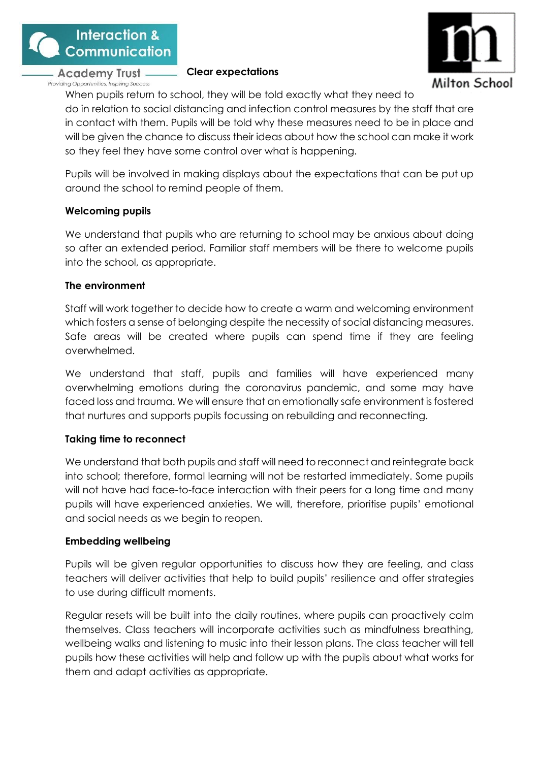

#### **Clear expectations**



When pupils return to school, they will be told exactly what they need to do in relation to social distancing and infection control measures by the staff that are in contact with them. Pupils will be told why these measures need to be in place and will be given the chance to discuss their ideas about how the school can make it work so they feel they have some control over what is happening.

Pupils will be involved in making displays about the expectations that can be put up around the school to remind people of them.

# **Welcoming pupils**

We understand that pupils who are returning to school may be anxious about doing so after an extended period. Familiar staff members will be there to welcome pupils into the school, as appropriate.

# **The environment**

Staff will work together to decide how to create a warm and welcoming environment which fosters a sense of belonging despite the necessity of social distancing measures. Safe areas will be created where pupils can spend time if they are feeling overwhelmed.

We understand that staff, pupils and families will have experienced many overwhelming emotions during the coronavirus pandemic, and some may have faced loss and trauma. We will ensure that an emotionally safe environment is fostered that nurtures and supports pupils focussing on rebuilding and reconnecting.

# **Taking time to reconnect**

We understand that both pupils and staff will need to reconnect and reintegrate back into school; therefore, formal learning will not be restarted immediately. Some pupils will not have had face-to-face interaction with their peers for a long time and many pupils will have experienced anxieties. We will, therefore, prioritise pupils' emotional and social needs as we begin to reopen.

# **Embedding wellbeing**

Pupils will be given regular opportunities to discuss how they are feeling, and class teachers will deliver activities that help to build pupils' resilience and offer strategies to use during difficult moments.

Regular resets will be built into the daily routines, where pupils can proactively calm themselves. Class teachers will incorporate activities such as mindfulness breathing, wellbeing walks and listening to music into their lesson plans. The class teacher will tell pupils how these activities will help and follow up with the pupils about what works for them and adapt activities as appropriate.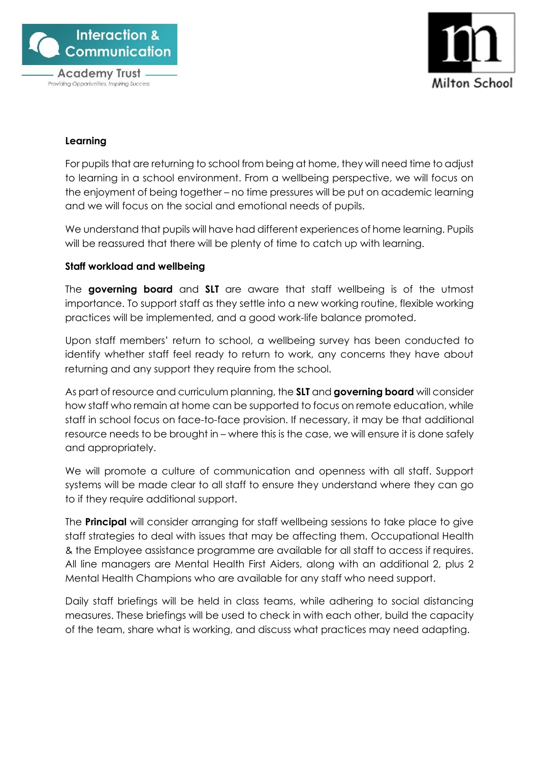

Providing Opportunities, Inspiring Success



# **Learning**

For pupils that are returning to school from being at home, they will need time to adjust to learning in a school environment. From a wellbeing perspective, we will focus on the enjoyment of being together – no time pressures will be put on academic learning and we will focus on the social and emotional needs of pupils.

We understand that pupils will have had different experiences of home learning. Pupils will be reassured that there will be plenty of time to catch up with learning.

# **Staff workload and wellbeing**

The **governing board** and **SLT** are aware that staff wellbeing is of the utmost importance. To support staff as they settle into a new working routine, flexible working practices will be implemented, and a good work-life balance promoted.

Upon staff members' return to school, a wellbeing survey has been conducted to identify whether staff feel ready to return to work, any concerns they have about returning and any support they require from the school.

As part of resource and curriculum planning, the **SLT** and **governing board** will consider how staff who remain at home can be supported to focus on remote education, while staff in school focus on face-to-face provision. If necessary, it may be that additional resource needs to be brought in – where this is the case, we will ensure it is done safely and appropriately.

We will promote a culture of communication and openness with all staff. Support systems will be made clear to all staff to ensure they understand where they can go to if they require additional support.

The **Principal** will consider arranging for staff wellbeing sessions to take place to give staff strategies to deal with issues that may be affecting them. Occupational Health & the Employee assistance programme are available for all staff to access if requires. All line managers are Mental Health First Aiders, along with an additional 2, plus 2 Mental Health Champions who are available for any staff who need support.

Daily staff briefings will be held in class teams, while adhering to social distancing measures. These briefings will be used to check in with each other, build the capacity of the team, share what is working, and discuss what practices may need adapting.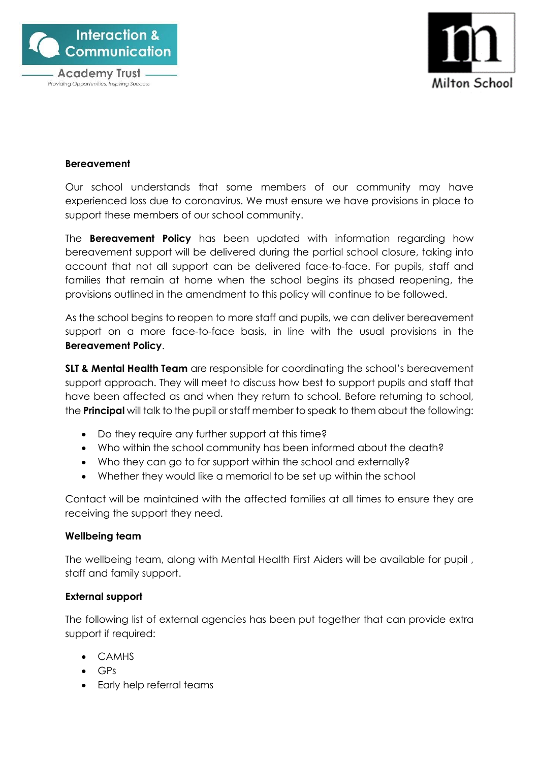



#### **Bereavement**

Our school understands that some members of our community may have experienced loss due to coronavirus. We must ensure we have provisions in place to support these members of our school community.

The **Bereavement Policy** has been updated with information regarding how bereavement support will be delivered during the partial school closure, taking into account that not all support can be delivered face-to-face. For pupils, staff and families that remain at home when the school begins its phased reopening, the provisions outlined in the amendment to this policy will continue to be followed.

As the school begins to reopen to more staff and pupils, we can deliver bereavement support on a more face-to-face basis, in line with the usual provisions in the **Bereavement Policy**.

**SLT & Mental Health Team** are responsible for coordinating the school's bereavement support approach. They will meet to discuss how best to support pupils and staff that have been affected as and when they return to school. Before returning to school, the **Principal** will talk to the pupil or staff member to speak to them about the following:

- Do they require any further support at this time?
- Who within the school community has been informed about the death?
- Who they can go to for support within the school and externally?
- Whether they would like a memorial to be set up within the school

Contact will be maintained with the affected families at all times to ensure they are receiving the support they need.

#### **Wellbeing team**

The wellbeing team, along with Mental Health First Aiders will be available for pupil , staff and family support.

# **External support**

The following list of external agencies has been put together that can provide extra support if required:

- CAMHS
- GPs
- Early help referral teams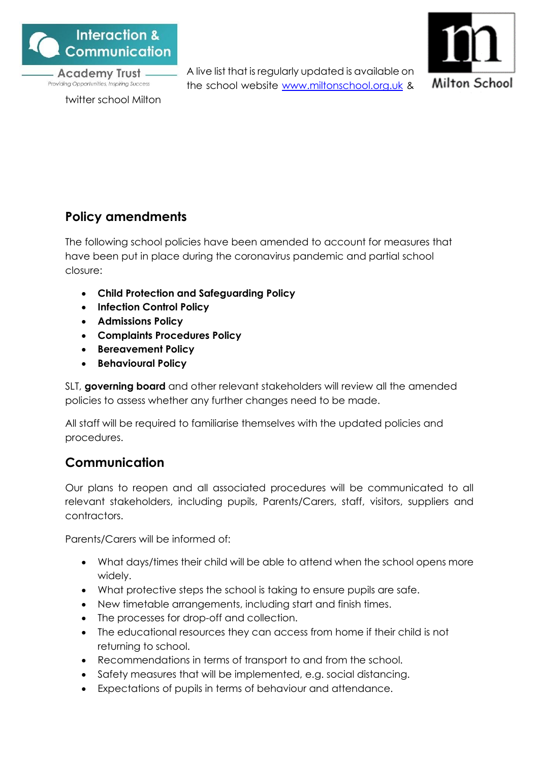

twitter school Milton

A live list that is regularly updated is available on the school website [www.miltonschool.org.uk](http://www.miltonschool.org.uk/) &



# <span id="page-29-0"></span>**Policy amendments**

The following school policies have been amended to account for measures that have been put in place during the coronavirus pandemic and partial school closure:

- **Child Protection and Safeguarding Policy**
- **Infection Control Policy**
- **Admissions Policy**
- **Complaints Procedures Policy**
- **Bereavement Policy**
- **Behavioural Policy**

SLT, **governing board** and other relevant stakeholders will review all the amended policies to assess whether any further changes need to be made.

All staff will be required to familiarise themselves with the updated policies and procedures.

# <span id="page-29-1"></span>**Communication**

Our plans to reopen and all associated procedures will be communicated to all relevant stakeholders, including pupils, Parents/Carers, staff, visitors, suppliers and contractors.

Parents/Carers will be informed of:

- What days/times their child will be able to attend when the school opens more widely.
- What protective steps the school is taking to ensure pupils are safe.
- New timetable arrangements, including start and finish times.
- The processes for drop-off and collection.
- The educational resources they can access from home if their child is not returning to school.
- Recommendations in terms of transport to and from the school.
- Safety measures that will be implemented, e.g. social distancing.
- Expectations of pupils in terms of behaviour and attendance.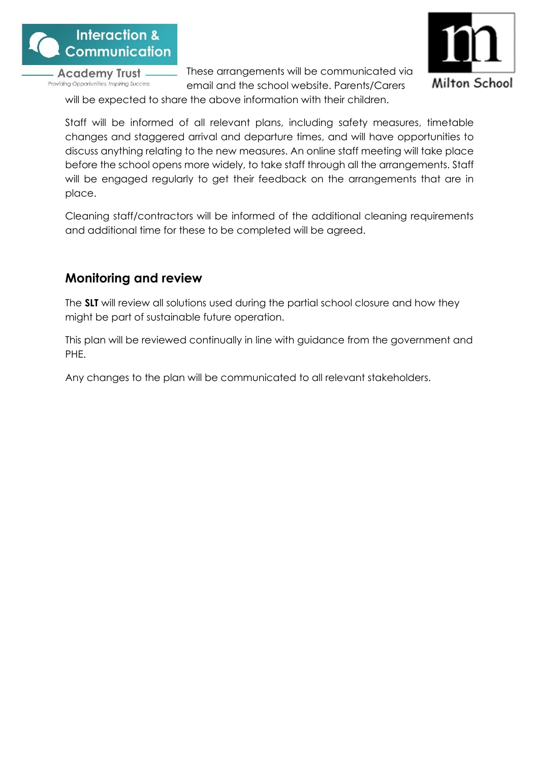

These arrangements will be communicated via email and the school website. Parents/Carers



will be expected to share the above information with their children.

Staff will be informed of all relevant plans, including safety measures, timetable changes and staggered arrival and departure times, and will have opportunities to discuss anything relating to the new measures. An online staff meeting will take place before the school opens more widely, to take staff through all the arrangements. Staff will be engaged regularly to get their feedback on the arrangements that are in place.

Cleaning staff/contractors will be informed of the additional cleaning requirements and additional time for these to be completed will be agreed.

# <span id="page-30-0"></span>**Monitoring and review**

The **SLT** will review all solutions used during the partial school closure and how they might be part of sustainable future operation.

This plan will be reviewed continually in line with guidance from the government and PHE.

Any changes to the plan will be communicated to all relevant stakeholders.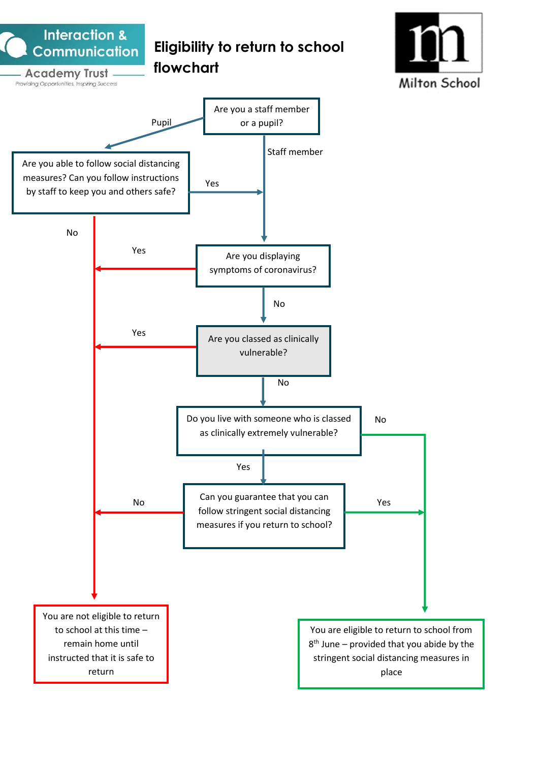<span id="page-31-0"></span>